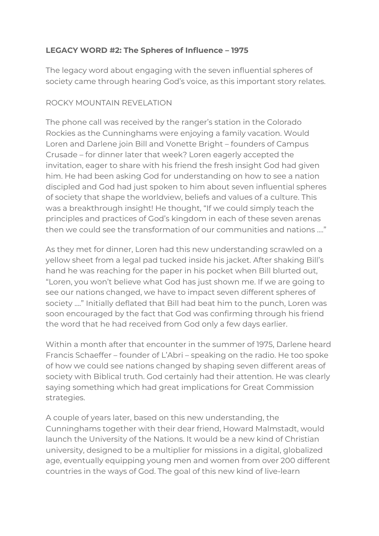## **LEGACY WORD #2: The Spheres of Influence – 1975**

The legacy word about engaging with the seven influential spheres of society came through hearing God's voice, as this important story relates.

## ROCKY MOUNTAIN REVELATION

The phone call was received by the ranger's station in the Colorado Rockies as the Cunninghams were enjoying a family vacation. Would Loren and Darlene join Bill and Vonette Bright – founders of Campus Crusade – for dinner later that week? Loren eagerly accepted the invitation, eager to share with his friend the fresh insight God had given him. He had been asking God for understanding on how to see a nation discipled and God had just spoken to him about seven influential spheres of society that shape the worldview, beliefs and values of a culture. This was a breakthrough insight! He thought, "If we could simply teach the principles and practices of God's kingdom in each of these seven arenas then we could see the transformation of our communities and nations ...."

As they met for dinner, Loren had this new understanding scrawled on a yellow sheet from a legal pad tucked inside his jacket. After shaking Bill's hand he was reaching for the paper in his pocket when Bill blurted out, "Loren, you won't believe what God has just shown me. If we are going to see our nations changed, we have to impact seven different spheres of society ...." Initially deflated that Bill had beat him to the punch, Loren was soon encouraged by the fact that God was confirming through his friend the word that he had received from God only a few days earlier.

Within a month after that encounter in the summer of 1975, Darlene heard Francis Schaeffer – founder of L'Abri – speaking on the radio. He too spoke of how we could see nations changed by shaping seven different areas of society with Biblical truth. God certainly had their attention. He was clearly saying something which had great implications for Great Commission strategies.

A couple of years later, based on this new understanding, the Cunninghams together with their dear friend, Howard Malmstadt, would launch the University of the Nations. It would be a new kind of Christian university, designed to be a multiplier for missions in a digital, globalized age, eventually equipping young men and women from over 200 different countries in the ways of God. The goal of this new kind of live-learn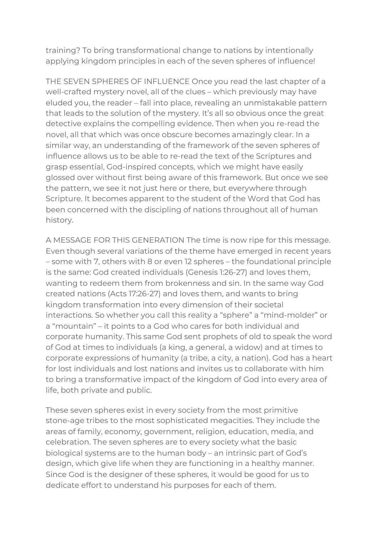training? To bring transformational change to nations by intentionally applying kingdom principles in each of the seven spheres of influence!

THE SEVEN SPHERES OF INFLUENCE Once you read the last chapter of a well-crafted mystery novel, all of the clues – which previously may have eluded you, the reader – fall into place, revealing an unmistakable pattern that leads to the solution of the mystery. It's all so obvious once the great detective explains the compelling evidence. Then when you re-read the novel, all that which was once obscure becomes amazingly clear. In a similar way, an understanding of the framework of the seven spheres of influence allows us to be able to re-read the text of the Scriptures and grasp essential, God-inspired concepts, which we might have easily glossed over without first being aware of this framework. But once we see the pattern, we see it not just here or there, but everywhere through Scripture. It becomes apparent to the student of the Word that God has been concerned with the discipling of nations throughout all of human history.

A MESSAGE FOR THIS GENERATION The time is now ripe for this message. Even though several variations of the theme have emerged in recent years – some with 7, others with 8 or even 12 spheres – the foundational principle is the same: God created individuals (Genesis 1:26-27) and loves them, wanting to redeem them from brokenness and sin. In the same way God created nations (Acts 17:26-27) and loves them, and wants to bring kingdom transformation into every dimension of their societal interactions. So whether you call this reality a "sphere" a "mind-molder" or a "mountain" – it points to a God who cares for both individual and corporate humanity. This same God sent prophets of old to speak the word of God at times to individuals (a king, a general, a widow) and at times to corporate expressions of humanity (a tribe, a city, a nation). God has a heart for lost individuals and lost nations and invites us to collaborate with him to bring a transformative impact of the kingdom of God into every area of life, both private and public.

These seven spheres exist in every society from the most primitive stone-age tribes to the most sophisticated megacities. They include the areas of family, economy, government, religion, education, media, and celebration. The seven spheres are to every society what the basic biological systems are to the human body – an intrinsic part of God's design, which give life when they are functioning in a healthy manner. Since God is the designer of these spheres, it would be good for us to dedicate effort to understand his purposes for each of them.